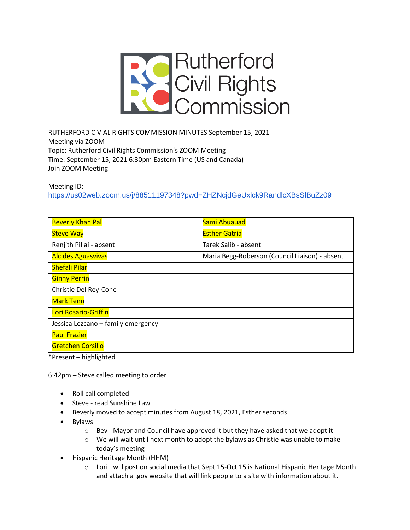

RUTHERFORD CIVIAL RIGHTS COMMISSION MINUTES September 15, 2021 Meeting via ZOOM Topic: Rutherford Civil Rights Commission's ZOOM Meeting Time: September 15, 2021 6:30pm Eastern Time (US and Canada) Join ZOOM Meeting

Meeting ID:

<https://us02web.zoom.us/j/88511197348?pwd=ZHZNcjdGeUxlck9RandlcXBsSlBuZz09>

| <b>Beverly Khan Pal</b>            | Sami Abuauad                                   |
|------------------------------------|------------------------------------------------|
| <b>Steve Way</b>                   | <b>Esther Gatria</b>                           |
| Renjith Pillai - absent            | Tarek Salib - absent                           |
| <b>Alcides Aguasvivas</b>          | Maria Begg-Roberson (Council Liaison) - absent |
| <b>Shefali Pilar</b>               |                                                |
| <b>Ginny Perrin</b>                |                                                |
| Christie Del Rey-Cone              |                                                |
| <b>Mark Tenn</b>                   |                                                |
| Lori Rosario-Griffin               |                                                |
| Jessica Lezcano - family emergency |                                                |
| <b>Paul Frazier</b>                |                                                |
| <b>Gretchen Corsillo</b>           |                                                |

\*Present – highlighted

6:42pm – Steve called meeting to order

- Roll call completed
- Steve read Sunshine Law
- Beverly moved to accept minutes from August 18, 2021, Esther seconds
- Bylaws
	- o Bev Mayor and Council have approved it but they have asked that we adopt it
	- $\circ$  We will wait until next month to adopt the bylaws as Christie was unable to make today's meeting
- Hispanic Heritage Month (HHM)
	- o Lori –will post on social media that Sept 15-Oct 15 is National Hispanic Heritage Month and attach a .gov website that will link people to a site with information about it.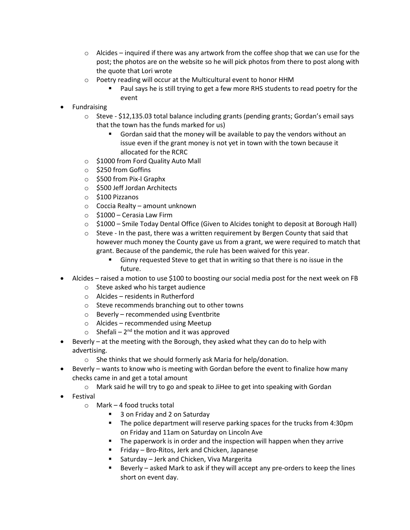- $\circ$  Alcides inquired if there was any artwork from the coffee shop that we can use for the post; the photos are on the website so he will pick photos from there to post along with the quote that Lori wrote
- o Poetry reading will occur at the Multicultural event to honor HHM
	- Paul says he is still trying to get a few more RHS students to read poetry for the event
- **Fundraising** 
	- $\circ$  Steve \$12,135.03 total balance including grants (pending grants; Gordan's email says that the town has the funds marked for us)
		- Gordan said that the money will be available to pay the vendors without an issue even if the grant money is not yet in town with the town because it allocated for the RCRC
	- o \$1000 from Ford Quality Auto Mall
	- o \$250 from Goffins
	- o \$500 from Pix-l Graphx
	- o \$500 Jeff Jordan Architects
	- o \$100 Pizzanos
	- o Coccia Realty amount unknown
	- $\circ$  \$1000 Cerasia Law Firm
	- o \$1000 Smile Today Dental Office (Given to Alcides tonight to deposit at Borough Hall)
	- $\circ$  Steve In the past, there was a written requirement by Bergen County that said that however much money the County gave us from a grant, we were required to match that grant. Because of the pandemic, the rule has been waived for this year.
		- Ginny requested Steve to get that in writing so that there is no issue in the future.
- Alcides raised a motion to use \$100 to boosting our social media post for the next week on FB
	- o Steve asked who his target audience
	- o Alcides residents in Rutherford
	- o Steve recommends branching out to other towns
	- o Beverly recommended using Eventbrite
	- o Alcides recommended using Meetup
	- $\circ$  Shefali 2<sup>nd</sup> the motion and it was approved
- Beverly at the meeting with the Borough, they asked what they can do to help with advertising.
	- o She thinks that we should formerly ask Maria for help/donation.
- Beverly wants to know who is meeting with Gordan before the event to finalize how many checks came in and get a total amount
	- $\circ$  Mark said he will try to go and speak to JiHee to get into speaking with Gordan
- Festival
	- o Mark 4 food trucks total
		- 3 on Friday and 2 on Saturday
		- The police department will reserve parking spaces for the trucks from 4:30pm on Friday and 11am on Saturday on Lincoln Ave
		- The paperwork is in order and the inspection will happen when they arrive
		- Friday Bro-Ritos, Jerk and Chicken, Japanese
		- Saturday Jerk and Chicken, Viva Margerita
		- Beverly asked Mark to ask if they will accept any pre-orders to keep the lines short on event day.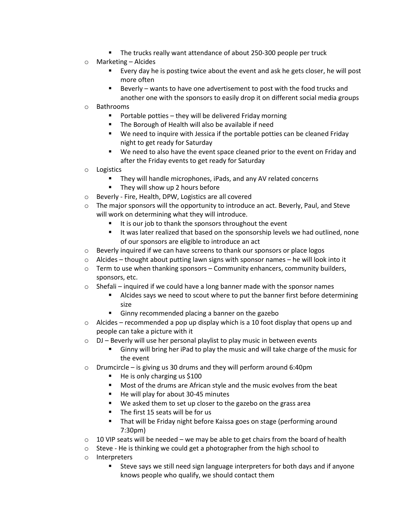- The trucks really want attendance of about 250-300 people per truck
- o Marketing Alcides
	- Every day he is posting twice about the event and ask he gets closer, he will post more often
	- Beverly wants to have one advertisement to post with the food trucks and another one with the sponsors to easily drop it on different social media groups
- o Bathrooms
	- Portable potties they will be delivered Friday morning
	- The Borough of Health will also be available if need
	- We need to inquire with Jessica if the portable potties can be cleaned Friday night to get ready for Saturday
	- We need to also have the event space cleaned prior to the event on Friday and after the Friday events to get ready for Saturday
- o Logistics
	- They will handle microphones, iPads, and any AV related concerns
	- They will show up 2 hours before
- o Beverly Fire, Health, DPW, Logistics are all covered
- $\circ$  The major sponsors will the opportunity to introduce an act. Beverly, Paul, and Steve will work on determining what they will introduce.
	- It is our job to thank the sponsors throughout the event
	- It was later realized that based on the sponsorship levels we had outlined, none of our sponsors are eligible to introduce an act
- o Beverly inquired if we can have screens to thank our sponsors or place logos
- $\circ$  Alcides thought about putting lawn signs with sponsor names he will look into it
- $\circ$  Term to use when thanking sponsors Community enhancers, community builders, sponsors, etc.
- o Shefali inquired if we could have a long banner made with the sponsor names
	- Alcides says we need to scout where to put the banner first before determining size
	- Ginny recommended placing a banner on the gazebo
- $\circ$  Alcides recommended a pop up display which is a 10 foot display that opens up and people can take a picture with it
- $\circ$  DJ Beverly will use her personal playlist to play music in between events
	- Ginny will bring her iPad to play the music and will take charge of the music for the event
- o Drumcircle is giving us 30 drums and they will perform around 6:40pm
	- He is only charging us \$100
	- Most of the drums are African style and the music evolves from the beat
	- He will play for about 30-45 minutes
	- We asked them to set up closer to the gazebo on the grass area
	- The first 15 seats will be for us
	- That will be Friday night before Kaissa goes on stage (performing around 7:30pm)
- $\circ$  10 VIP seats will be needed we may be able to get chairs from the board of health
- o Steve He is thinking we could get a photographer from the high school to
- o Interpreters
	- Steve says we still need sign language interpreters for both days and if anyone knows people who qualify, we should contact them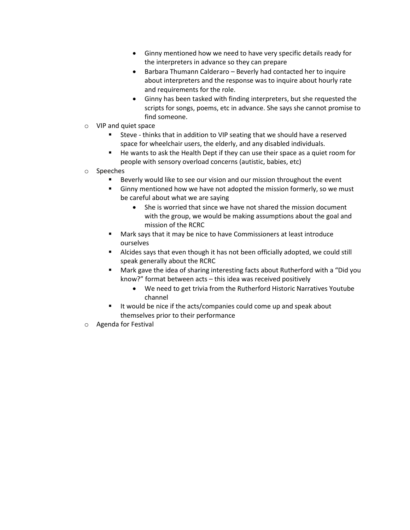- Ginny mentioned how we need to have very specific details ready for the interpreters in advance so they can prepare
- Barbara Thumann Calderaro Beverly had contacted her to inquire about interpreters and the response was to inquire about hourly rate and requirements for the role.
- Ginny has been tasked with finding interpreters, but she requested the scripts for songs, poems, etc in advance. She says she cannot promise to find someone.
- o VIP and quiet space
	- Steve thinks that in addition to VIP seating that we should have a reserved space for wheelchair users, the elderly, and any disabled individuals.
	- He wants to ask the Health Dept if they can use their space as a quiet room for people with sensory overload concerns (autistic, babies, etc)
- o Speeches
	- Beverly would like to see our vision and our mission throughout the event
	- Ginny mentioned how we have not adopted the mission formerly, so we must be careful about what we are saying
		- She is worried that since we have not shared the mission document with the group, we would be making assumptions about the goal and mission of the RCRC
	- Mark says that it may be nice to have Commissioners at least introduce ourselves
	- Alcides says that even though it has not been officially adopted, we could still speak generally about the RCRC
	- Mark gave the idea of sharing interesting facts about Rutherford with a "Did you know?" format between acts – this idea was received positively
		- We need to get trivia from the Rutherford Historic Narratives Youtube channel
	- It would be nice if the acts/companies could come up and speak about themselves prior to their performance
- o Agenda for Festival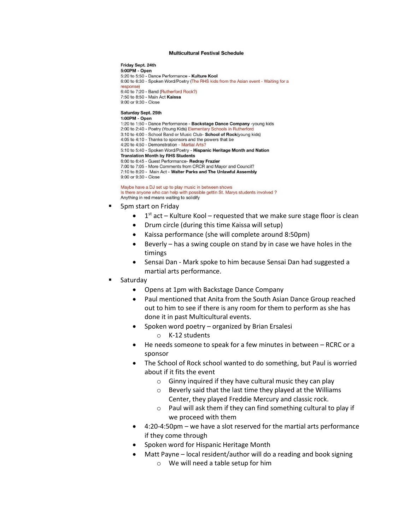## **Multicultural Festival Schedule**

Friday Sept. 24th 5:00PM - Open 5:20 to 5:50 - Dance Performance - Kulture Kool 6:00 to 6:30 - Spoken Word/Poetry (The RHS kids from the Asian event - Waiting for a responsel 6:40 to 7:20 - Band (Rutherford Rock?) 7:50 to 8:50 - Main Act Kaissa 9:00 or 9:30 - Close Saturday Sept. 25th 1:00PM - Open 1:20 to 1:50 - Dance Performance - Backstage Dance Company -young kids 2:00 to 2:40 - Poetry (Young Kids) Elementary Schools in Rutherford 3:10 to 4:00 - School Band or Music Club- School of Rock(young kids) 4:05 to 4:10 - Thanks to sponsors and the powers that be 4:20 to 4:50 - Demonstration - Martial Arts? 5:10 to 5:40 - Spoken Word/Poetry - Hispanic Heritage Month and Nation **Translation Month by RHS Students** 6:00 to 6:45 - Guest Performance- Redray Frazier 7:00 to 7:05 - More Comments from CRCR and Mayor and Council?

7:10 to 8:20 - Main Act - Walter Parks and The Unlawful Assembly 9:00 or 9:30 - Close

Maybe have a DJ set up to play music in between shows Is there anyone who can help with possible gettin St. Marys students involved ? Anything in red means waiting to solidify

- 5pm start on Friday
	- $\bullet$  1<sup>st</sup> act Kulture Kool requested that we make sure stage floor is clean
	- Drum circle (during this time Kaissa will setup)
	- Kaissa performance (she will complete around 8:50pm)
	- Beverly  $-$  has a swing couple on stand by in case we have holes in the timings
	- Sensai Dan Mark spoke to him because Sensai Dan had suggested a martial arts performance.
- Saturday
	- Opens at 1pm with Backstage Dance Company
	- Paul mentioned that Anita from the South Asian Dance Group reached out to him to see if there is any room for them to perform as she has done it in past Multicultural events.
	- Spoken word poetry organized by Brian Ersalesi
		- o K-12 students
	- He needs someone to speak for a few minutes in between RCRC or a sponsor
	- The School of Rock school wanted to do something, but Paul is worried about if it fits the event
		- $\circ$  Ginny inquired if they have cultural music they can play
		- o Beverly said that the last time they played at the Williams Center, they played Freddie Mercury and classic rock.
		- o Paul will ask them if they can find something cultural to play if we proceed with them
	- 4:20-4:50pm we have a slot reserved for the martial arts performance if they come through
	- Spoken word for Hispanic Heritage Month
	- Matt Payne local resident/author will do a reading and book signing
		- o We will need a table setup for him